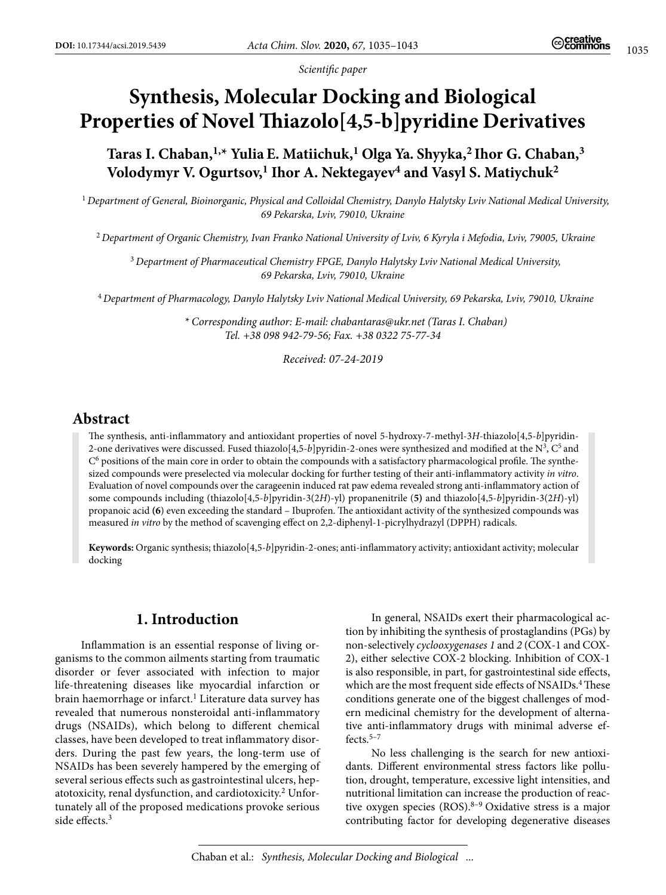*Scientific paper*

# **Synthesis, Molecular Docking and Biological Properties of Novel Thiazolo[4,5-b]pyridine Derivatives**

Taras I. Chaban,<sup>1,\*</sup> Yulia E. Matiichuk,<sup>1</sup> Olga Ya. Shyyka,<sup>2</sup> Ihor G. Chaban,<sup>3</sup> Volodymyr V. Ogurtsov,<sup>1</sup> Ihor A. Nektegayev<sup>4</sup> and Vasyl S. Matiychuk<sup>2</sup>

<sup>1</sup>*Department of General, Bioinorganic, Physical and Colloidal Chemistry, Danylo Halytsky Lviv National Medical University, 69 Pekarska, Lviv, 79010, Ukraine*

<sup>2</sup>*Department of Organic Chemistry, Ivan Franko National University of Lviv, 6 Kyryla і Mefodia, Lviv, 79005, Ukraine*

<sup>3</sup>*Department of Pharmaceutical Chemistry FPGE, Danylo Halytsky Lviv National Medical University, 69 Pekarska, Lviv, 79010, Ukraine*

<sup>4</sup>*Department of Pharmacology, Danylo Halytsky Lviv National Medical University, 69 Pekarska, Lviv, 79010, Ukraine*

*\* Corresponding author: E-mail: [chabantaras@ukr.net](mailto:chabantaras@ukr.net) (Taras I. Chaban) Tel. +38 098 942-79-56; Fax. +38 0322 75-77-34*

*Received: 07-24-2019*

# **Abstract**

The synthesis, anti-inflammatory and antioxidant properties of novel 5-hydroxy-7-methyl-3*H*-thiazolo[4,5-*b*]pyridin-2-one derivatives were discussed. Fused thiazolo<sup>[4,5-*b*]pyridin-2-ones were synthesized and modified at the  $N^3$ ,  $C^5$  and</sup>  $C<sup>6</sup>$  positions of the main core in order to obtain the compounds with a satisfactory pharmacological profile. The synthesized compounds were preselected via molecular docking for further testing of their anti-inflammatory activity *in vitro*. Evaluation of novel compounds over the carageenin induced rat paw edema revealed strong anti-inflammatory action of some compounds including (thiazolo[4,5-*b*]pyridin-3(2*H*)-yl) propanenitrile (**5)** and thiazolo[4,5-*b*]pyridin-3(2*H*)-yl) propanoic acid **(6**) even exceeding the standard – Ibuprofen. The antioxidant activity of the synthesized compounds was measured *in vitro* by the method of scavenging effect on 2,2-diphenyl-1-picrylhydrazyl (DPPH) radicals.

**Keywords:** Organic synthesis; thiazolo[4,5-*b*]pyridin-2-ones; anti-inflammatory activity; antioxidant activity; molecular docking

# **1. Introduction**

Inflammation is an essential response of living organisms to the common ailments starting from traumatic disorder or fever associated with infection to major life-threatening diseases like myocardial infarction or brain haemorrhage or infarct.<sup>1</sup> Literature data survey has revealed that numerous nonsteroidal anti-inflammatory drugs (NSAIDs), which belong to different chemical classes, have been developed to treat inflammatory disorders. During the past few years, the long-term use of NSAIDs has been severely hampered by the emerging of several serious effects such as gastrointestinal ulcers, hepatotoxicity, renal dysfunction, and cardiotoxicity.<sup>2</sup> Unfortunately all of the proposed medications provoke serious side effects.<sup>3</sup>

In general, NSAIDs exert their pharmacological action by inhibiting the synthesis of prostaglandins (PGs) by non-selectively *cyclooxygenases 1* and *2* (COX-1 and COX-2), either selective COX-2 blocking. Inhibition of COX-1 is also responsible, in part, for gastrointestinal side effects, which are the most frequent side effects of NSAIDs.<sup>4</sup> These conditions generate one of the biggest challenges of modern medicinal chemistry for the development of alternative anti-inflammatory drugs with minimal adverse effects. $5-7$ 

No less challenging is the search for new antioxidants. Different environmental stress factors like pollution, drought, temperature, excessive light intensities, and nutritional limitation can increase the production of reactive oxygen species  $(ROS)$ .<sup>8-9</sup> Oxidative stress is a major contributing factor for developing degenerative diseases

Chaban et al.: *Synthesis, Molecular Docking and Biological ...*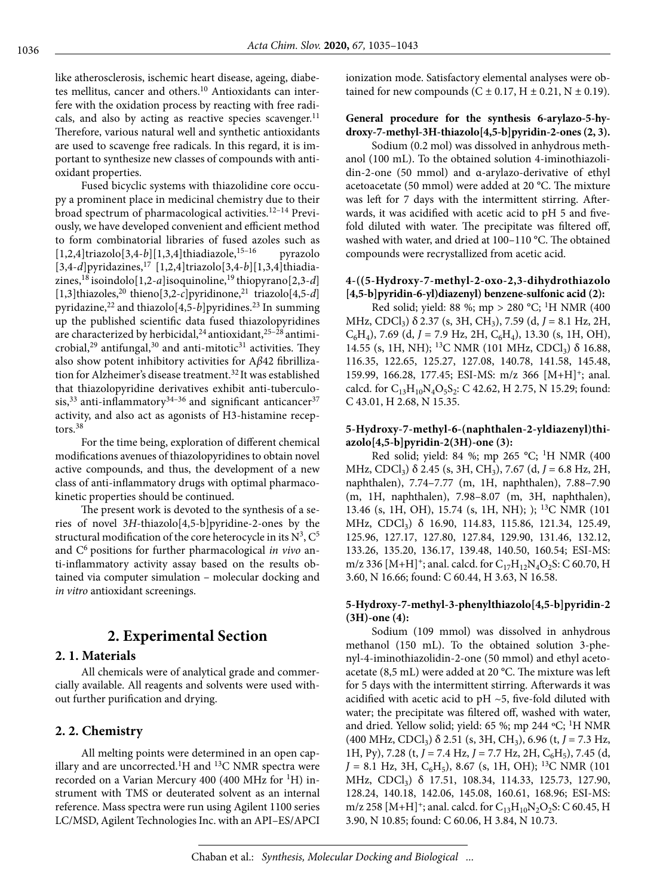like atherosclerosis, ischemic heart disease, ageing, diabetes mellitus, cancer and others.10 Antioxidants can interfere with the oxidation process by reacting with free radicals, and also by acting as reactive species scavenger.<sup>11</sup> Therefore, various natural well and synthetic antioxidants are used to scavenge free radicals. In this regard, it is important to synthesize new classes of compounds with antioxidant properties.

Fused bicyclic systems with thiazolidine core occupy a prominent place in medicinal chemistry due to their broad spectrum of pharmacological activities.12–14 Previously, we have developed convenient and efficient method to form combinatorial libraries of fused azoles such as  $[1,2,4]$ triazolo $[3,4-b]$  $[1,3,4]$ thiadiazole,<sup>15–16</sup> pyrazolo [3,4-*d*]pyridazines,17 [1,2,4]triazolo[3,4-*b*][1,3,4]thiadiazines,18 isoindolo[1,2-*a*]isoquinoline,19 thiopyrano[2,3-*d*] [1,3]thiazoles,20 thieno[3,2-*c*]pyridinone,21 triazolo[4,5-*d*] pyridazine,<sup>22</sup> and thiazolo[4,5-*b*]pyridines.<sup>23</sup> In summing up the published scientific data fused thiazolopyridines are characterized by herbicidal,<sup>24</sup> antioxidant,<sup>25–28</sup> antimicrobial,<sup>29</sup> antifungal,<sup>30</sup> and anti-mitotic<sup>31</sup> activities. They also show potent inhibitory activities for A*β*42 fibrillization for Alzheimer's disease treatment.<sup>32</sup> It was established that thiazolopyridine derivatives exhibit anti-tuberculosis,<sup>33</sup> anti-inflammatory<sup>34-36</sup> and significant anticancer<sup>37</sup> activity, and also act as agonists of H3-histamine receptors.<sup>38</sup>

For the time being, exploration of different chemical modifications avenues of thiazolopyridines to obtain novel active compounds, and thus, the development of a new class of anti-inflammatory drugs with optimal pharmacokinetic properties should be continued.

The present work is devoted to the synthesis of a series of novel 3*H*-thiazolo[4,5-b]pyridine-2-ones by the structural modification of the core heterocycle in its  $N^3$ ,  $C^5$ and C6 positions for further pharmacological *in vivo* anti-inflammatory activity assay based on the results obtained via computer simulation – molecular docking and *in vitro* antioxidant screenings.

# **2. Experimental Section**

### **2. 1. Materials**

All chemicals were of analytical grade and commercially available. All reagents and solvents were used without further purification and drying.

### **2. 2. Chemistry**

All melting points were determined in an open capillary and are uncorrected.<sup>1</sup>H and <sup>13</sup>C NMR spectra were recorded on a Varian Mercury 400 (400 MHz for <sup>1</sup>H) instrument with TMS or deuterated solvent as an internal reference. Mass spectra were run using Agilent 1100 series LC/MSD, Agilent Technologies Inc. with an API–ES/APCI ionization mode. Satisfactory elemental analyses were obtained for new compounds  $(C \pm 0.17, H \pm 0.21, N \pm 0.19)$ .

#### **General procedure for the synthesis 6-arylazo-5-hydroxy-7-methyl-3H-thiazolo[4,5-b]pyridin-2-ones (2, 3).**

Sodium (0.2 mol) was dissolved in anhydrous methanol (100 mL). To the obtained solution 4-iminothiazolidin-2-one (50 mmol) and α-arylazo-derivative of ethyl acetoacetate (50 mmol) were added at 20 °С. The mixture was left for 7 days with the intermittent stirring. Afterwards, it was acidified with acetic acid to рН 5 and fivefold diluted with water. The precipitate was filtered off, washed with water, and dried at 100–110 °С. The obtained compounds were recrystallized from acetic acid.

#### **4-((5-Hydroxy-7-methyl-2-oxo-2,3-dihydrothiazolo [4,5-b]pyridin-6-yl)diazenyl) benzene-sulfonic acid (2):**

Red solid; yield: 88 %; mp > 280 °C; <sup>1</sup>H NMR (400 MHz, CDCl3) δ 2.37 (s, 3H, CH3), 7.59 (d, *J* = 8.1 Hz, 2H,  $C_6H_4$ , 7.69 (d, J = 7.9 Hz, 2H,  $C_6H_4$ ), 13.30 (s, 1H, OH), 14.55 (s, 1H, NH); <sup>13</sup>C NMR (101 MHz, CDCl<sub>3</sub>) δ 16.88, 116.35, 122.65, 125.27, 127.08, 140.78, 141.58, 145.48, 159.99, 166.28, 177.45; ESI-MS: m/z 366 [M+H]+; anal. calcd. for  $C_{13}H_{10}N_4O_5S_2$ : C 42.62, H 2.75, N 15.29; found: C 43.01, H 2.68, N 15.35.

#### **5-Hydroxy-7-methyl-6-(naphthalen-2-yldiazenyl)thiazolo[4,5-b]pyridin-2(3H)-one (3):**

Red solid; yield: 84 %; mp 265 °C; <sup>1</sup>H NMR (400) MHz, CDCl<sub>3</sub>) δ 2.45 (s, 3H, CH<sub>3</sub>), 7.67 (d, *J* = 6.8 Hz, 2H, naphthalen), 7.74–7.77 (m, 1H, naphthalen), 7.88–7.90 (m, 1H, naphthalen), 7.98–8.07 (m, 3H, naphthalen), 13.46 (s, 1H, OH), 15.74 (s, 1H, NH); ); 13C NMR (101 MHz, CDCl<sub>3</sub>) δ 16.90, 114.83, 115.86, 121.34, 125.49, 125.96, 127.17, 127.80, 127.84, 129.90, 131.46, 132.12, 133.26, 135.20, 136.17, 139.48, 140.50, 160.54; ESI-MS: m/z 336 [M+H]<sup>+</sup>; anal. calcd. for  $C_{17}H_{12}N_4O_2S$ : C 60.70, H 3.60, N 16.66; found: C 60.44, H 3.63, N 16.58.

#### **5-Hydroxy-7-methyl-3-phenylthiazolo[4,5-b]pyridin-2 (3H)-one (4):**

Sodium (109 mmol) was dissolved in anhydrous methanol (150 mL). To the obtained solution 3-phenyl-4-iminothiazolidin-2-one (50 mmol) and ethyl acetoacetate (8,5 mL) were added at 20 °С. The mixture was left for 5 days with the intermittent stirring. Afterwards it was acidified with acetic acid to pH  $\sim$  5, five-fold diluted with water; the precipitate was filtered off, washed with water, and dried. Yellow solid; yield: 65 %; mp 244  $\rm ^oC;$  <sup>1</sup>H NMR (400 MHz, CDCl3) δ 2.51 (s, 3H, CH3), 6.96 (t, *J* = 7.3 Hz, 1H, Py), 7.28 (t, *J* = 7.4 Hz, *J* = 7.7 Hz, 2H, C<sub>6</sub>H<sub>5</sub>), 7.45 (d,  $J = 8.1$  Hz, 3H, C<sub>6</sub>H<sub>5</sub>), 8.67 (s, 1H, OH); <sup>13</sup>C NMR (101) MHz, CDCl<sub>3</sub>) δ 17.51, 108.34, 114.33, 125.73, 127.90, 128.24, 140.18, 142.06, 145.08, 160.61, 168.96; ESI-MS: m/z 258 [M+H]<sup>+</sup>; anal. calcd. for  $C_{13}H_{10}N_2O_2S$ : C 60.45, H 3.90, N 10.85; found: C 60.06, H 3.84, N 10.73.

Chaban et al.: *Synthesis, Molecular Docking and Biological ...*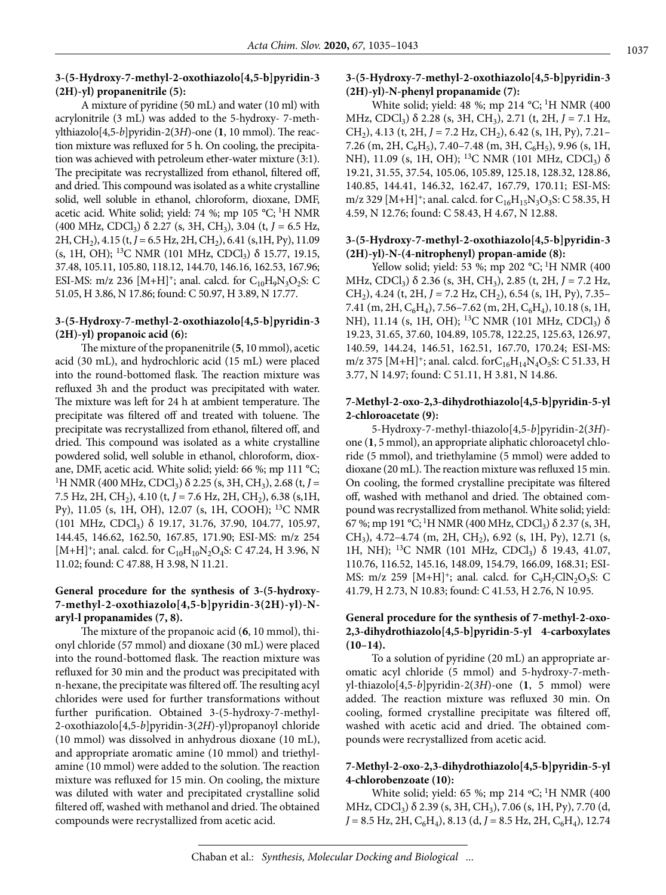#### **3-(5-Hydroxy-7-methyl-2-oxothiazolo[4,5-b]pyridin-3 (2H)-yl) propanenitrile (5):**

A mixture of pyridine (50 mL) and water (10 ml) with acrylonitrile (3 mL) was added to the 5-hydroxy- 7-methylthiazolo[4,5-*b*]pyridin-2(3*H*)-one (**1**, 10 mmol). The reaction mixture was refluxed for 5 h. On cooling, the precipitation was achieved with petroleum ether-water mixture (3:1). The precipitate was recrystallized from ethanol, filtered off, and dried. This compound was isolated as a white crystalline solid, well soluble in ethanol, chloroform, dioxane, DMF, acetic acid. White solid; yield: 74 %; mp 105 °C; <sup>1</sup>H NMR (400 MHz, CDCl3) δ 2.27 (s, 3H, CH3), 3.04 (t, *J* = 6.5 Hz, 2H, CH<sub>2</sub>), 4.15 (t, J = 6.5 Hz, 2H, CH<sub>2</sub>), 6.41 (s, 1H, Py), 11.09 (s, 1H, OH); <sup>13</sup>C NMR (101 MHz, CDCl<sub>3</sub>)  $\delta$  15.77, 19.15, 37.48, 105.11, 105.80, 118.12, 144.70, 146.16, 162.53, 167.96; ESI-MS: m/z 236 [M+H]<sup>+</sup>; anal. calcd. for C<sub>10</sub>H<sub>9</sub>N<sub>3</sub>O<sub>2</sub>S: C 51.05, H 3.86, N 17.86; found: C 50.97, H 3.89, N 17.77.

#### **3-(5-Hydroxy-7-methyl-2-oxothiazolo[4,5-b]pyridin-3 (2H)-yl) propanoic acid (6):**

The mixture of the propanenitrile (**5**, 10 mmol), acetic acid (30 mL), and hydrochloric acid (15 mL) were placed into the round-bottomed flask. The reaction mixture was refluxed 3h and the product was precipitated with water. The mixture was left for 24 h at ambient temperature. The precipitate was filtered off and treated with toluene. The precipitate was recrystallized from ethanol, filtered off, and dried. This compound was isolated as a white crystalline powdered solid, well soluble in ethanol, chloroform, dioxane, DMF, acetic acid. White solid; yield: 66 %; mp 111 °С; <sup>1</sup>H NMR (400 MHz, CDCl<sub>3</sub>) δ 2.25 (s, 3H, CH<sub>3</sub>), 2.68 (t, *J* = 7.5 Hz, 2H, CH<sub>2</sub>), 4.10 (t, J = 7.6 Hz, 2H, CH<sub>2</sub>), 6.38 (s, 1H, Py), 11.05 (s, 1H, OH), 12.07 (s, 1H, COOH); 13C NMR (101 MHz, CDCl3) δ 19.17, 31.76, 37.90, 104.77, 105.97, 144.45, 146.62, 162.50, 167.85, 171.90; ESI-MS: m/z 254 [M+H]<sup>+</sup>; anal. calcd. for  $C_{10}H_{10}N_2O_4S$ : C 47.24, H 3.96, N 11.02; found: C 47.88, H 3.98, N 11.21.

#### **General procedure for the synthesis of 3-(5-hydroxy-7-methyl-2-oxothiazolo[4,5-b]pyridin-3(2H)-yl)-Naryl-l propanamides (7, 8).**

The mixture of the propanoic acid (**6**, 10 mmol), thionyl chloride (57 mmol) and dioxane (30 mL) were placed into the round-bottomed flask. The reaction mixture was refluxed for 30 min and the product was precipitated with n-hexane, the precipitate was filtered off. The resulting acyl chlorides were used for further transformations without further purification. Obtained 3-(5-hydroxy-7-methyl-2-oxothiazolo[4,5-*b*]pyridin-3(*2H*)-yl)propanoyl chloride (10 mmol) was dissolved in anhydrous dioxane (10 mL), and appropriate aromatic amine (10 mmol) and triethylamine (10 mmol) were added to the solution. The reaction mixture was refluxed for 15 min. On cooling, the mixture was diluted with water and precipitated crystalline solid filtered off, washed with methanol and dried. The obtained compounds were recrystallized from acetic acid.

#### **3-(5-Hydroxy-7-methyl-2-oxothiazolo[4,5-b]pyridin-3 (2H)-yl)-N-phenyl propanamide (7):**

White solid; yield: 48 %; mp 214 °С; 1H NMR (400 MHz, CDCl<sub>3</sub>) δ 2.28 (s, 3H, CH<sub>3</sub>), 2.71 (t, 2H, *J* = 7.1 Hz, CH<sub>2</sub>), 4.13 (t, 2H,  $J = 7.2$  Hz, CH<sub>2</sub>), 6.42 (s, 1H, Py), 7.21– 7.26 (m, 2H,  $C_6H_5$ ), 7.40–7.48 (m, 3H,  $C_6H_5$ ), 9.96 (s, 1H, NH), 11.09 (s, 1H, OH); <sup>13</sup>C NMR (101 MHz, CDCl<sub>3</sub>) δ 19.21, 31.55, 37.54, 105.06, 105.89, 125.18, 128.32, 128.86, 140.85, 144.41, 146.32, 162.47, 167.79, 170.11; ESI-MS: m/z 329 [M+H]<sup>+</sup>; anal. calcd. for  $C_{16}H_{15}N_3O_3S$ : C 58.35, H 4.59, N 12.76; found: C 58.43, H 4.67, N 12.88.

#### **3-(5-Hydroxy-7-methyl-2-oxothiazolo[4,5-b]pyridin-3 (2H)-yl)-N-(4-nitrophenyl) propan-amide (8):**

Yellow solid; yield: 53 %; mp 202 °С; <sup>1</sup>Н NMR (400 MHz, CDCl3) δ 2.36 (s, 3H, CH3), 2.85 (t, 2H, *J* = 7.2 Hz, CH<sub>2</sub>), 4.24 (t, 2H,  $J = 7.2$  Hz, CH<sub>2</sub>), 6.54 (s, 1H, Py), 7.35– 7.41 (m, 2H,  $C_6H_4$ ), 7.56–7.62 (m, 2H,  $C_6H_4$ ), 10.18 (s, 1H, NH), 11.14 (s, 1H, OH); <sup>13</sup>C NMR (101 MHz, CDCl<sub>3</sub>)  $\delta$ 19.23, 31.65, 37.60, 104.89, 105.78, 122.25, 125.63, 126.97, 140.59, 144.24, 146.51, 162.51, 167.70, 170.24; ESI-MS: m/z 375 [M+H]<sup>+</sup>; anal. calcd. for  $C_{16}H_{14}N_4O_5S$ : C 51.33, H 3.77, N 14.97; found: C 51.11, H 3.81, N 14.86.

#### **7-Methyl-2-oxo-2,3-dihydrothiazolo[4,5-b]pyridin-5-yl 2-chloroacetate (9):**

5-Hydroxy-7-methyl-thiazolo[4,5-*b*]pyridin-2(*3H*) one (**1**, 5 mmol), an appropriate aliphatic chloroacetyl chloride (5 mmol), and triethylamine (5 mmol) were added to dioxane (20 mL). The reaction mixture was refluxed 15 min. On cooling, the formed crystalline precipitate was filtered off, washed with methanol and dried. The obtained compound was recrystallized from methanol. White solid; yield: 67 %; mp 191 °C; <sup>1</sup>H NMR (400 MHz, CDCl<sub>3</sub>) δ 2.37 (s, 3H, CH<sub>3</sub>), 4.72–4.74 (m, 2H, CH<sub>2</sub>), 6.92 (s, 1H, Py), 12.71 (s, 1H, NH); <sup>13</sup>C NMR (101 MHz, CDCl<sub>3</sub>) δ 19.43, 41.07, 110.76, 116.52, 145.16, 148.09, 154.79, 166.09, 168.31; ESI-MS: m/z 259 [M+H]<sup>+</sup>; anal. calcd. for  $C_9H_7CIN_2O_3S$ : C 41.79, H 2.73, N 10.83; found: C 41.53, H 2.76, N 10.95.

#### **General procedure for the synthesis of 7-methyl-2-oxo-2,3-dihydrothiazolo[4,5-b]pyridin-5-yl 4-carboxylates (10–14).**

To a solution of pyridine (20 mL) an appropriate aromatic acyl chloride (5 mmol) and 5-hydroxy-7-methyl-thiazolo[4,5-*b*]pyridin-2(*3H*)-one (**1**, 5 mmol) were added. The reaction mixture was refluxed 30 min. On cooling, formed crystalline precipitate was filtered off, washed with acetic acid and dried. The obtained compounds were recrystallized from acetic acid.

#### **7-Methyl-2-oxo-2,3-dihydrothiazolo[4,5-b]pyridin-5-yl 4-chlorobenzoate (10):**

White solid; yield: 65 %; mp 214  $°C$ ; <sup>1</sup>H NMR (400 MHz, CDCl<sub>3</sub>)  $\delta$  2.39 (s, 3H, CH<sub>3</sub>), 7.06 (s, 1H, Py), 7.70 (d,  $J = 8.5$  Hz, 2H,  $C_6H_4$ ), 8.13 (d,  $J = 8.5$  Hz, 2H,  $C_6H_4$ ), 12.74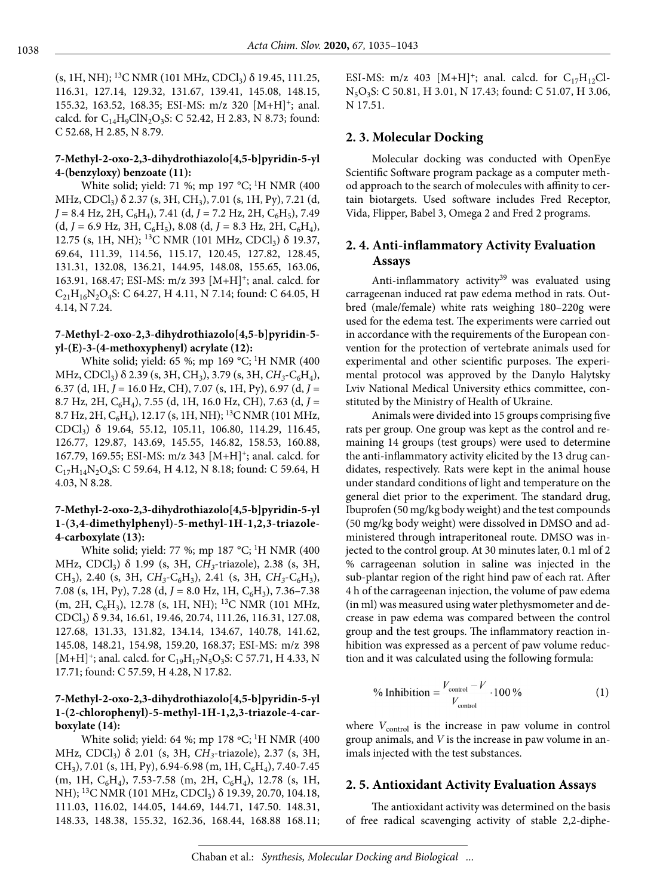(s, 1H, NH); <sup>13</sup>C NMR (101 MHz, CDCl<sub>3</sub>)  $\delta$  19.45, 111.25, 116.31, 127.14, 129.32, 131.67, 139.41, 145.08, 148.15, 155.32, 163.52, 168.35; ESI-MS: m/z 320 [M+H]+; anal. calcd. for  $C_{14}H_9ClN_2O_3S$ : C 52.42, H 2.83, N 8.73; found: C 52.68, H 2.85, N 8.79.

#### **7-Methyl-2-oxo-2,3-dihydrothiazolo[4,5-b]pyridin-5-yl 4-(benzyloxy) benzoate (11):**

White solid; yield: 71 %; mp 197 °С; <sup>1</sup>Н NMR (400 MHz, CDCl<sub>3</sub>) δ 2.37 (s, 3H, CH<sub>3</sub>), 7.01 (s, 1H, Py), 7.21 (d,  $J = 8.4$  Hz, 2H,  $C_6H_4$ ), 7.41 (d,  $J = 7.2$  Hz, 2H,  $C_6H_5$ ), 7.49  $(d, J = 6.9 \text{ Hz}, 3\text{H}, \text{C}_6\text{H}_5)$ , 8.08  $(d, J = 8.3 \text{ Hz}, 2\text{H}, \text{C}_6\text{H}_4)$ , 12.75 (s, 1H, NH); <sup>13</sup>C NMR (101 MHz, CDCl<sub>3</sub>) δ 19.37, 69.64, 111.39, 114.56, 115.17, 120.45, 127.82, 128.45, 131.31, 132.08, 136.21, 144.95, 148.08, 155.65, 163.06, 163.91, 168.47; ESI-MS: m/z 393 [M+H]+; anal. calcd. for  $C_{21}H_{16}N_2O_4S$ : C 64.27, H 4.11, N 7.14; found: C 64.05, H 4.14, N 7.24.

#### **7-Methyl-2-oxo-2,3-dihydrothiazolo[4,5-b]pyridin-5 yl-(E)-3-(4-methoxyphenyl) acrylate (12):**

White solid; yield: 65 %; mp 169 °С; 1H NMR (400  $MHz$ , CDCl<sub>3</sub>)  $\delta$  2.39 (s, 3H, CH<sub>3</sub>), 3.79 (s, 3H, CH<sub>3</sub>-C<sub>6</sub>H<sub>4</sub>), 6.37 (d, 1H, *J* = 16.0 Hz, CH), 7.07 (s, 1H, Py), 6.97 (d, *J* = 8.7 Hz, 2H, C6H4), 7.55 (d, 1H, 16.0 Hz, CH), 7.63 (d, *J* = 8.7 Hz, 2H,  $C_6H_4$ ), 12.17 (s, 1H, NH); <sup>13</sup>C NMR (101 MHz, CDCl3) δ 19.64, 55.12, 105.11, 106.80, 114.29, 116.45, 126.77, 129.87, 143.69, 145.55, 146.82, 158.53, 160.88, 167.79, 169.55; ESI-MS: m/z 343 [M+H]+; anal. calcd. for  $C_{17}H_{14}N_2O_4S$ : C 59.64, H 4.12, N 8.18; found: C 59.64, H 4.03, N 8.28.

#### **7-Methyl-2-oxo-2,3-dihydrothiazolo[4,5-b]pyridin-5-yl 1-(3,4-dimethylphenyl)-5-methyl-1H-1,2,3-triazole-4-carboxylate (13):**

White solid; yield: 77 %; mp 187 °C; <sup>1</sup>H NMR (400 MHz, CDCl<sub>3</sub>) δ 1.99 (s, 3H, CH<sub>3</sub>-triazole), 2.38 (s, 3H, CH3), 2.40 (s, 3H, *CH3*-C6H3), 2.41 (s, 3H, *CH3*-C6H3), 7.08 (s, 1H, Py), 7.28 (d, *J* = 8.0 Hz, 1H, C<sub>6</sub>H<sub>3</sub>), 7.36–7.38  $(m, 2H, C_6H_3)$ , 12.78 (s, 1H, NH); <sup>13</sup>C NMR (101 MHz, CDCl3) δ 9.34, 16.61, 19.46, 20.74, 111.26, 116.31, 127.08, 127.68, 131.33, 131.82, 134.14, 134.67, 140.78, 141.62, 145.08, 148.21, 154.98, 159.20, 168.37; ESI-MS: m/z 398 [M+H]<sup>+</sup>; anal. calcd. for C<sub>19</sub>H<sub>17</sub>N<sub>5</sub>O<sub>3</sub>S: C 57.71, H 4.33, N 17.71; found: C 57.59, H 4.28, N 17.82.

#### **7-Methyl-2-oxo-2,3-dihydrothiazolo[4,5-b]pyridin-5-yl 1-(2-chlorophenyl)-5-methyl-1H-1,2,3-triazole-4-carboxylate (14):**

White solid; yield: 64 %; mp 178  $°C$ ; <sup>1</sup>H NMR (400) MHz, CDCl<sub>3</sub>) δ 2.01 (s, 3H, CH<sub>3</sub>-triazole), 2.37 (s, 3H, CH<sub>3</sub>), 7.01 (s, 1H, Py), 6.94-6.98 (m, 1H, C<sub>6</sub>H<sub>4</sub>), 7.40-7.45 (m, 1H,  $C_6H_4$ ), 7.53-7.58 (m, 2H,  $C_6H_4$ ), 12.78 (s, 1H, NH); <sup>13</sup>C NMR (101 MHz, CDCl<sub>3</sub>) δ 19.39, 20.70, 104.18, 111.03, 116.02, 144.05, 144.69, 144.71, 147.50. 148.31, 148.33, 148.38, 155.32, 162.36, 168.44, 168.88 168.11; ESI-MS: m/z 403 [M+H]<sup>+</sup>; anal. calcd. for C<sub>17</sub>H<sub>12</sub>Cl-N5O3S: C 50.81, H 3.01, N 17.43; found: C 51.07, H 3.06, N 17.51.

#### **2. 3. Molecular Docking**

Molecular docking was conducted with OpenEye Scientific Software program package as a computer method approach to the search of molecules with affinity to certain biotargets. Used software includes Fred Receptor, Vida, Flipper, Babel 3, Omega 2 and Fred 2 programs.

### **2. 4. Anti-inflammatory Activity Evaluation Assays**

Anti-inflammatory activity<sup>39</sup> was evaluated using carrageenan induced rat paw edema method in rats. Outbred (male/female) white rats weighing 180–220g were used for the edema test. The experiments were carried out in accordance with the requirements of the European convention for the protection of vertebrate animals used for experimental and other scientific purposes. The experimental protocol was approved by the Danylo Halytsky Lviv National Medical University ethics committee, constituted by the Ministry of Health of Ukraine.

Animals were divided into 15 groups comprising five rats per group. One group was kept as the control and remaining 14 groups (test groups) were used to determine the anti-inflammatory activity elicited by the 13 drug candidates, respectively. Rats were kept in the animal house under standard conditions of light and temperature on the general diet prior to the experiment. The standard drug, Ibuprofen (50 mg/kg body weight) and the test compounds (50 mg/kg body weight) were dissolved in DMSO and administered through intraperitoneal route. DMSO was injected to the control group. At 30 minutes later, 0.1 ml of 2 % carrageenan solution in saline was injected in the sub-plantar region of the right hind paw of each rat. After 4 h of the carrageenan injection, the volume of paw edema (in ml) was measured using water plethysmometer and decrease in paw edema was compared between the control group and the test groups. The inflammatory reaction inhibition was expressed as a percent of paw volume reduction and it was calculated using the following formula:

% Inhibition = 
$$
\frac{V_{\text{control}} - V}{V_{\text{control}}}
$$
 100% (1)

where  $V_{\text{control}}$  is the increase in paw volume in control group animals, and *V* is the increase in paw volume in animals injected with the test substances.

#### **2. 5. Antioxidant Activity Evaluation Assays**

The antioxidant activity was determined on the basis of free radical scavenging activity of stable 2,2-diphe-

Chaban et al.: *Synthesis, Molecular Docking and Biological ...*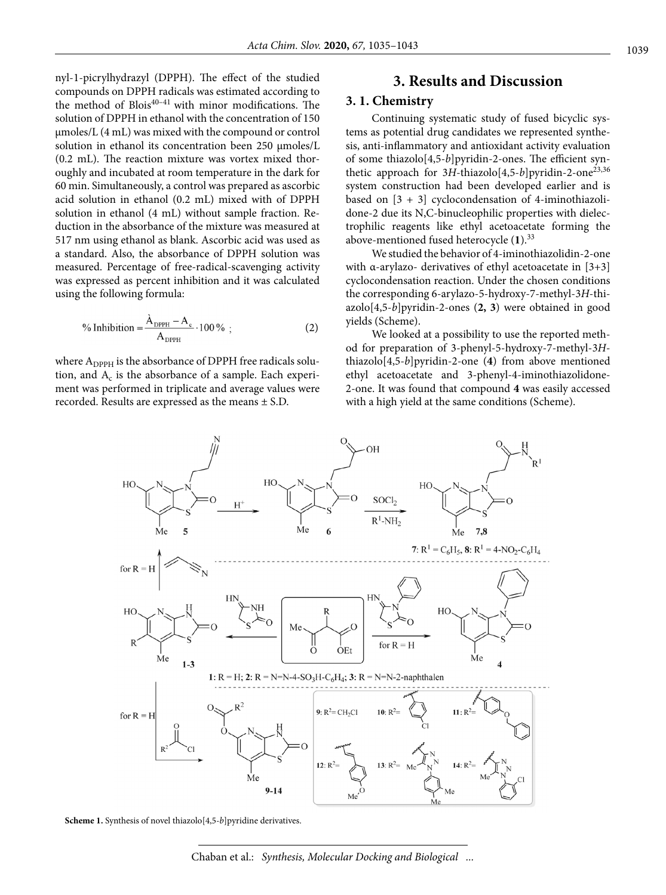nyl-1-picrylhydrazyl (DPPH). The effect of the studied compounds on DPPH radicals was estimated according to the method of Blois<sup>40–41</sup> with minor modifications. The solution of DPPH in ethanol with the concentration of 150 µmoles/L (4 mL) was mixed with the compound or control solution in ethanol its concentration been 250 µmoles/L (0.2 mL). The reaction mixture was vortex mixed thoroughly and incubated at room temperature in the dark for 60 min. Simultaneously, a control was prepared as ascorbic acid solution in ethanol (0.2 mL) mixed with of DPPH solution in ethanol (4 mL) without sample fraction. Reduction in the absorbance of the mixture was measured at 517 nm using ethanol as blank. Ascorbic acid was used as a standard. Also, the absorbance of DPPH solution was measured. Percentage of free-radical-scavenging activity was expressed as percent inhibition and it was calculated using the following formula:

$$
\% Inhibition = \frac{\dot{A}_{DPPH} - A_c}{A_{DPPH}} \cdot 100\% \tag{2}
$$

where  $A_{\text{DPPH}}$  is the absorbance of DPPH free radicals solution, and  $A_c$  is the absorbance of a sample. Each experiment was performed in triplicate and average values were recorded. Results are expressed as the means ± S.D.

## **3. Results and Discussion**

#### **3. 1. Chemistry**

Continuing systematic study of fused bicyclic systems as potential drug candidates we represented synthesis, anti-inflammatory and antioxidant activity evaluation of some thiazolo[4,5-*b*]pyridin-2-ones. The efficient synthetic approach for 3H-thiazolo[4,5-*b*]pyridin-2-one<sup>23,36</sup> system construction had been developed earlier and is based on  $[3 + 3]$  cyclocondensation of 4-iminothiazolidone-2 due its N,C-binucleophilic properties with dielectrophilic reagents like ethyl acetoacetate forming the above-mentioned fused heterocycle (**1**).33

We studied the behavior of 4-iminothiazolidin-2-one with α-arylazo- derivatives of ethyl acetoacetate in [3+3] cyclocondensation reaction. Under the chosen conditions the corresponding 6-arylazo-5-hydroxy-7-methyl-3*H*-thiazolo[4,5-*b*]pyridin-2-ones (**2, 3**) were obtained in good yields (Scheme).

We looked at a possibility to use the reported method for preparation of 3-phenyl-5-hydroxy-7-methyl-3*H*thiazolo[4,5-*b*]pyridin-2-one (**4**) from above mentioned ethyl acetoacetate and 3-phenyl-4-iminothiazolidone-2-onе. It was found that compound **4** was easily accessed with a high yield at the same conditions (Scheme).



Scheme 1. Synthesis of novel thiazolo<sup>[4,5-*b*]pyridine derivatives.</sup>

Chaban et al.: *Synthesis, Molecular Docking and Biological ...*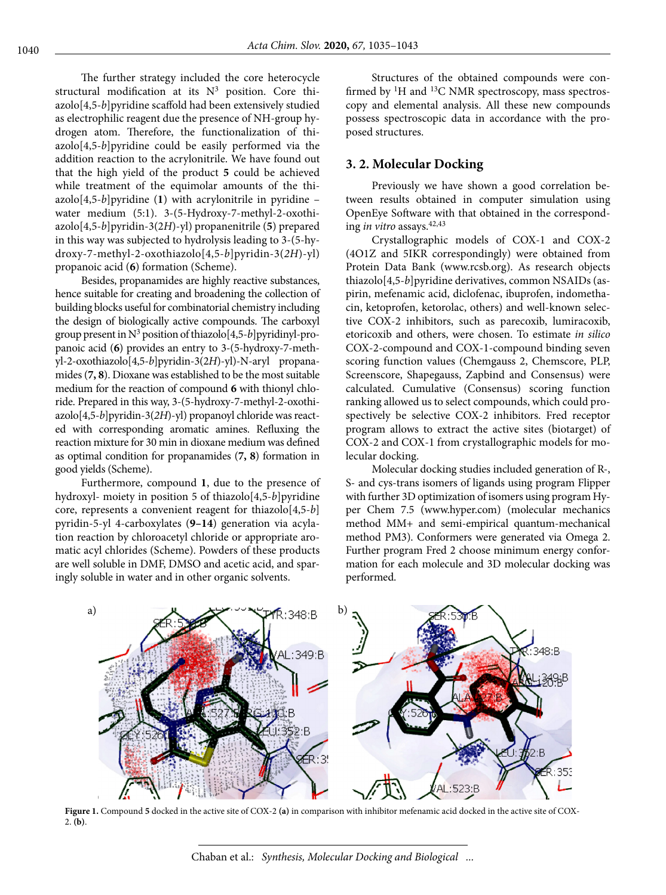The further strategy included the core heterocycle structural modification at its  $N^3$  position. Core thiazolo[4,5-*b*]pyridine scaffold had been extensively studied as electrophilic reagent due the presence of NH-group hydrogen atom. Therefore, the functionalization of thiazolo[4,5-*b*]pyridine could be easily performed via the addition reaction to the acrylonitrile. We have found out that the high yield of the product **5** could be achieved while treatment of the equimolar amounts of the thi $a \text{zolo}[4,5-b]$  pyridine (1) with acrylonitrile in pyridine – water medium (5:1). 3-(5-Hydroxy-7-methyl-2-oxothiazolo[4,5-*b*]pyridin-3(2*H*)-yl) propanenitrile (**5**) prepared in this way was subjected to hydrolysis leading to 3-(5-hydroxy-7-methyl-2-oxothiazolo[4,5-*b*]pyridin-3(*2H*)-yl) propanoic acid (**6**) formation (Scheme).

Besides, propanamides are highly reactive substances, hence suitable for creating and broadening the collection of building blocks useful for combinatorial chemistry including the design of biologically active compounds. The carboxyl group present in N3 position of thiazolo[4,5-*b*]pyridinyl-propanoic acid (**6**) provides an entry to 3-(5-hydroxy-7-methyl-2-oxothiazolo[4,5-*b*]pyridin-3(2*H*)-yl)-N-aryl propanamides (**7, 8**). Dioxane was established to be the most suitable medium for the reaction of compound **6** with thionyl chloride. Prepared in this way, 3-(5-hydroxy-7-methyl-2-oxothiazolo[4,5-*b*]pyridin-3(*2H*)-yl) propanoyl chloride was reacted with corresponding aromatic amines. Refluxing the reaction mixture for 30 min in dioxane medium was defined as optimal condition for propanamides (**7, 8**) formation in good yields (Scheme).

Furthermore, compound **1**, due to the presence of hydroxyl- moiety in position 5 of thiazolo[4,5-*b*]pyridine core, represents a convenient reagent for thiazolo[4,5-*b*] pyridin-5-yl 4-carboxylates (**9–14**) generation via acylation reaction by chloroacetyl chloride or appropriate aromatic acyl chlorides (Scheme). Powders of these products are well soluble in DMF, DMSO and acetic acid, and sparingly soluble in water and in other organic solvents.

Structures of the obtained compounds were confirmed by <sup>1</sup>H and <sup>13</sup>C NMR spectroscopy, mass spectroscopy and elemental analysis. All these new compounds possess spectroscopic data in accordance with the proposed structures.

#### **3. 2. Molecular Docking**

Previously we have shown a good correlation between results obtained in computer simulation using OpenEye Software with that obtained in the corresponding *in vitro* assays.42,43

Crystallographic models of COX-1 and COX-2 (4O1Z and 5IKR correspondingly) were obtained from Protein Data Bank (www.rcsb.org). As research objects thiazolo[4,5-*b*]pyridine derivatives, common NSAIDs (aspirin, mefenamic acid, diclofenac, ibuprofen, indomethacin, ketoprofen, ketorolac, others) and well-known selective COX-2 inhibitors, such as parecoxib, lumiracoxib, etoricoxib and others, were chosen. To estimate *in silico* COX-2-compound and COX-1-compound binding seven scoring function values (Chemgauss 2, Chemscore, PLP, Screenscore, Shapegauss, Zapbind and Consensus) were calculated. Cumulative (Consensus) scoring function ranking allowed us to select compounds, which could prospectively be selective COX-2 inhibitors. Fred receptor program allows to extract the active sites (biotarget) of COX-2 and COX-1 from crystallographic models for molecular docking.

Molecular docking studies included generation of R-, S- and cys-trans isomers of ligands using program Flipper with further 3D optimization of isomers using program Hyper Chem 7.5 (www.hyper.com) (molecular mechanics method MM+ and semi-empirical quantum-mechanical method PM3). Conformers were generated via Omega 2. Further program Fred 2 choose minimum energy conformation for each molecule and 3D molecular docking was performed.



**Figure 1.** Compound **5** docked in the active site of COX-2 **(a)** in comparison with inhibitor mefenamic acid docked in the active site of COX-2. **(b)**.

Chaban et al.: *Synthesis, Molecular Docking and Biological ...*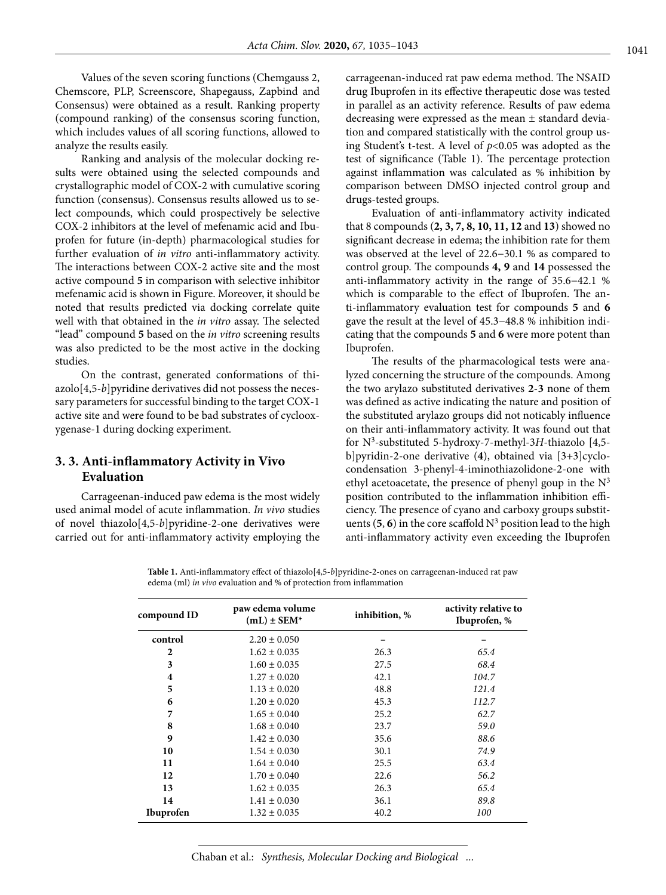Values of the seven scoring functions (Chemgauss 2, Chemscore, PLP, Screenscore, Shapegauss, Zapbind and Consensus) were obtained as a result. Ranking property (compound ranking) of the consensus scoring function, which includes values of all scoring functions, allowed to analyze the results easily.

Ranking and analysis of the molecular docking results were obtained using the selected compounds and crystallographic model of COX-2 with cumulative scoring function (consensus). Consensus results allowed us to select compounds, which could prospectively be selective COX-2 inhibitors at the level of mefenamic acid and Ibuprofen for future (in-depth) pharmacological studies for further evaluation of *in vitro* anti-inflammatory activity. The interactions between COX-2 active site and the most active compound **5** in comparison with selective inhibitor mefenamic acid is shown in Figure. Moreover, it should be noted that results predicted via docking correlate quite well with that obtained in the *in vitro* assay. The selected "lead" compound **5** based on the *in vitro* screening results was also predicted to be the most active in the docking studies.

On the contrast, generated conformations of thiazolo[4,5-*b*]pyridine derivatives did not possess the necessary parameters for successful binding to the target COX-1 active site and were found to be bad substrates of cyclooxygenase-1 during docking experiment.

### **3. 3. Anti-inflammatory Activity in Vivo Evaluation**

Carrageenan-induced paw edema is the most widely used animal model of acute inflammation. *In vivo* studies of novel thiazolo[4,5-*b*]pyridine-2-one derivatives were carried out for anti-inflammatory activity employing the carrageenan-induced rat paw edema method. The NSAID drug Ibuprofen in its effective therapeutic dose was tested in parallel as an activity reference. Results of paw edema decreasing were expressed as the mean ± standard deviation and compared statistically with the control group using Student's t-test. A level of *p*<0.05 was adopted as the test of significance (Table 1). The percentage protection against inflammation was calculated as % inhibition by comparison between DMSO injected control group and drugs-tested groups.

Evaluation of anti-inflammatory activity indicated that 8 compounds (**2, 3, 7, 8, 10, 11, 12** and **13**) showed no significant decrease in edema; the inhibition rate for them was observed at the level of 22.6−30.1 % as compared to control group. The compounds **4, 9** and **14** possessed the anti-inflammatory activity in the range of 35.6−42.1 % which is comparable to the effect of Ibuprofen. The anti-inflammatory evaluation test for compounds **5** and **6** gave the result at the level of 45.3−48.8 % inhibition indicating that the compounds **5** and **6** were more potent than Ibuprofen.

The results of the pharmacological tests were analyzed concerning the structure of the compounds. Among the two arylazo substituted derivatives **2**-**3** none of them was defined as active indicating the nature and position of the substituted arylazo groups did not noticably influence on their anti-inflammatory activity. It was found out that for N3-substituted 5-hydroxy-7-methyl-3*H*-thiazolo [4,5 b]pyridin-2-one derivative (**4**), obtained via [3+3]cyclocondensation 3-phenyl-4-iminothiazolidone-2-onе with ethyl acetoacetate, the presence of phenyl goup in the  $N<sup>3</sup>$ position contributed to the inflammation inhibition efficiency. The presence of cyano and carboxy groups substituents  $(5, 6)$  in the core scaffold  $N^3$  position lead to the high anti-inflammatory activity even exceeding the Ibuprofen

**Table 1.** Anti-inflammatory effect of thiazolo[4,5-*b*]pyridine-2-ones on carrageenan-induced rat paw edema (ml) *in vivo* evaluation and % of protection from inflammation

| compound ID      | paw edema volume<br>$(mL) \pm SEM^*$ | inhibition, % | activity relative to<br>Ibuprofen, % |
|------------------|--------------------------------------|---------------|--------------------------------------|
| control          | $2.20 \pm 0.050$                     |               |                                      |
| $\mathbf{2}$     | $1.62 \pm 0.035$                     | 26.3          | 65.4                                 |
| 3                | $1.60 \pm 0.035$                     | 27.5          | 68.4                                 |
| 4                | $1.27 \pm 0.020$                     | 42.1          | 104.7                                |
| 5                | $1.13 \pm 0.020$                     | 48.8          | 121.4                                |
| 6                | $1.20 \pm 0.020$                     | 45.3          | 112.7                                |
| 7                | $1.65 \pm 0.040$                     | 25.2          | 62.7                                 |
| 8                | $1.68 \pm 0.040$                     | 23.7          | 59.0                                 |
| $\boldsymbol{9}$ | $1.42 \pm 0.030$                     | 35.6          | 88.6                                 |
| 10               | $1.54 \pm 0.030$                     | 30.1          | 74.9                                 |
| 11               | $1.64 \pm 0.040$                     | 25.5          | 63.4                                 |
| 12               | $1.70 \pm 0.040$                     | 22.6          | 56.2                                 |
| 13               | $1.62 \pm 0.035$                     | 26.3          | 65.4                                 |
| 14               | $1.41 \pm 0.030$                     | 36.1          | 89.8                                 |
| Ibuprofen        | $1.32 \pm 0.035$                     | 40.2          | 100                                  |

Chaban et al.: *Synthesis, Molecular Docking and Biological ...*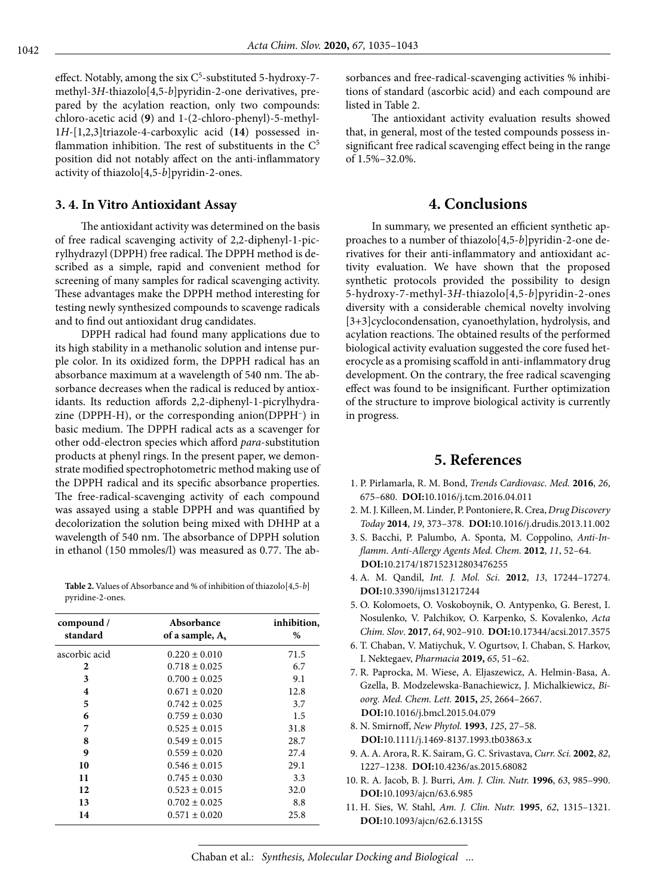effect. Notably, among the six  $C<sup>5</sup>$ -substituted 5-hydroxy-7methyl-3*H*-thiazolo[4,5-*b*]pyridin-2-one derivatives, prepared by the acylation reaction, only two compounds: chloro-acetic acid (**9**) and 1-(2-chloro-phenyl)-5-methyl-1*H*-[1,2,3]triazole-4-carboxylic acid (**14**) possessed inflammation inhibition. The rest of substituents in the  $C<sup>5</sup>$ position did not notably affect on the anti-inflammatory activity of thiazolo[4,5-*b*]pyridin-2-ones.

#### **3. 4. In Vitro Antioxidant Assay**

The antioxidant activity was determined on the basis of free radical scavenging activity of 2,2-diphenyl-1-picrylhydrazyl (DPPH) free radical. The DPPH method is described as a simple, rapid and convenient method for screening of many samples for radical scavenging activity. These advantages make the DPPH method interesting for testing newly synthesized compounds to scavenge radicals and to find out antioxidant drug candidates.

DPPH radical had found many applications due to its high stability in a methanolic solution and intense purple color. In its oxidized form, the DPPH radical has an absorbance maximum at a wavelength of 540 nm. The absorbance decreases when the radical is reduced by antioxidants. Its reduction affords 2,2-diphenyl-1-picrylhydrazine (DPPH-H), or the corresponding anion(DPPH–) in basic medium. The DPPH radical acts as a scavenger for other odd-electron species which afford *para*-substitution products at phenyl rings. In the present paper, we demonstrate modified spectrophotometric method making use of the DPPH radical and its specific absorbance properties. The free-radical-scavenging activity of each compound was assayed using a stable DPPH and was quantified by decolorization the solution being mixed with DHHP at a wavelength of 540 nm. The absorbance of DPPH solution in ethanol (150 mmoles/l) was measured as 0.77. The ab-

**Table 2.** Values of Absorbance and % of inhibition of thiazolo[4,5-*b*] pyridine-2-ones.

| compound /<br>standard | Absorbance<br>of a sample, $A_s$ | inhibition,<br>% |
|------------------------|----------------------------------|------------------|
| ascorbic acid          | $0.220 \pm 0.010$                | 71.5             |
| 2                      | $0.718 \pm 0.025$                | 6.7              |
| 3                      | $0.700 \pm 0.025$                | 9.1              |
| 4                      | $0.671 \pm 0.020$                | 12.8             |
| 5                      | $0.742 \pm 0.025$                | 3.7              |
| 6                      | $0.759 \pm 0.030$                | 1.5              |
| 7                      | $0.525 \pm 0.015$                | 31.8             |
| 8                      | $0.549 \pm 0.015$                | 28.7             |
| 9                      | $0.559 \pm 0.020$                | 27.4             |
| 10                     | $0.546 \pm 0.015$                | 29.1             |
| 11                     | $0.745 \pm 0.030$                | 3.3              |
| 12                     | $0.523 \pm 0.015$                | 32.0             |
| 13                     | $0.702 \pm 0.025$                | 8.8              |
| 14                     | $0.571 \pm 0.020$                | 25.8             |

sorbances and free-radical-scavenging activities % inhibitions of standard (ascorbic acid) and each compound are listed in Table 2.

The antioxidant activity evaluation results showed that, in general, most of the tested compounds possess insignificant free radical scavenging effect being in the range of 1.5%–32.0%.

## **4. Conclusions**

In summary, we presented an efficient synthetic approaches to a number of thiazolo[4,5-*b*]pyridin-2-one derivatives for their anti-inflammatory and antioxidant activity evaluation. We have shown that the proposed synthetic protocols provided the possibility to design 5-hydroxy-7-methyl-3*H*-thiazolo[4,5-*b*]pyridin-2-ones diversity with a considerable chemical novelty involving [3+3]cyclocondensation, cyanoethylation, hydrolysis, and acylation reactions. The obtained results of the performed biological activity evaluation suggested the core fused heterocycle as a promising scaffold in anti-inflammatory drug development. On the contrary, the free radical scavenging effect was found to be insignificant. Further optimization of the structure to improve biological activity is currently in progress.

# **5. References**

- 1. P. Pirlamarla, R. M. Bond, *Trends Cardiovasc. Med.* **2016**, *26*, 675–680. **DOI:**[10.1016/j.tcm.2016.04.011](https://doi.org/10.1016/j.tcm.2016.04.011)
- 2. M. J. Killeen, M. Linder, P. Pontoniere, R. Crea, *Drug Discovery Today* **2014**, *19*, 373–378. **DOI:**[10.1016/j.drudis.2013.11.002](https://doi.org/10.1016/j.drudis.2013.11.002)
- 3. S. Bacchi, P. Palumbo, A. Sponta, M. Coppolino, *Anti-Inflamm. Anti-Allergy Agents Med. Chem.* **2012**, *11*, 52–64. **DOI:**[10.2174/187152312803476255](https://doi.org/10.2174/187152312803476255)
- 4. A. M. Qandil, *Int. J. Mol. Sci*. **2012**, *13*, 17244–17274. **DOI:**[10.3390/ijms131217244](https://doi.org/10.3390/ijms131217244)
- 5. O. Kolomoets, O. Voskoboynik, O. Antypenko, G. Berest, I. Nosulenko, V. Palchikov, O. Karpenko, S. Kovalenko, *Acta Chim. Slov*. **2017**, *64*, 902–910. **DOI:**[10.17344/acsi.2017.3575](https://doi.org/10.17344/acsi.2017.3575)
- 6. T. Chaban, V. Matiychuk, V. Ogurtsov, I. Chaban, S. Harkov, I. Nektegaev, *Pharmacia* **2019,** *65*, 51–62.
- 7. R. Paprocka, M. Wiese, A. Eljaszewicz, A. Helmin-Basa, A. Gzella, B. Modzelewska-Banachiewicz, J. Michalkiewicz, *Bioorg. Med. Chem. Lett.* **2015,** *25*, 2664–2667. **DOI:**[10.1016/j.bmcl.2015.04.079](https://doi.org/10.1016/j.bmcl.2015.04.079)
- 8. N. Smirnoff, *New Phytol.* **1993**, *125*, 27–58. **DOI:**[10.1111/j.1469-8137.1993.tb03863.x](https://doi.org/10.1111/j.1469-8137.1993.tb03863.x)
- 9. A. A. Arora, R. K. Sairam, G. C. Srivastava, *Curr. Sci.* **2002**, *82*, 1227–1238. **DOI:**[10.4236/as.2015.68082](https://doi.org/10.4236/as.2015.68082)
- 10. R. A. Jacob, B. J. Burri, *Am. J. Clin. Nutr.* **1996**, *63*, 985–990. **DOI:**[10.1093/ajcn/63.6.985](https://doi.org/10.1093/ajcn/63.6.985)
- 11. H. Sies, W. Stahl, *Am. J. Clin. Nutr.* **1995**, *62*, 1315–1321. **DOI:**[10.1093/ajcn/62.6.1315S](https://doi.org/10.1093/ajcn/62.6.1315S)

Chaban et al.: *Synthesis, Molecular Docking and Biological ...*